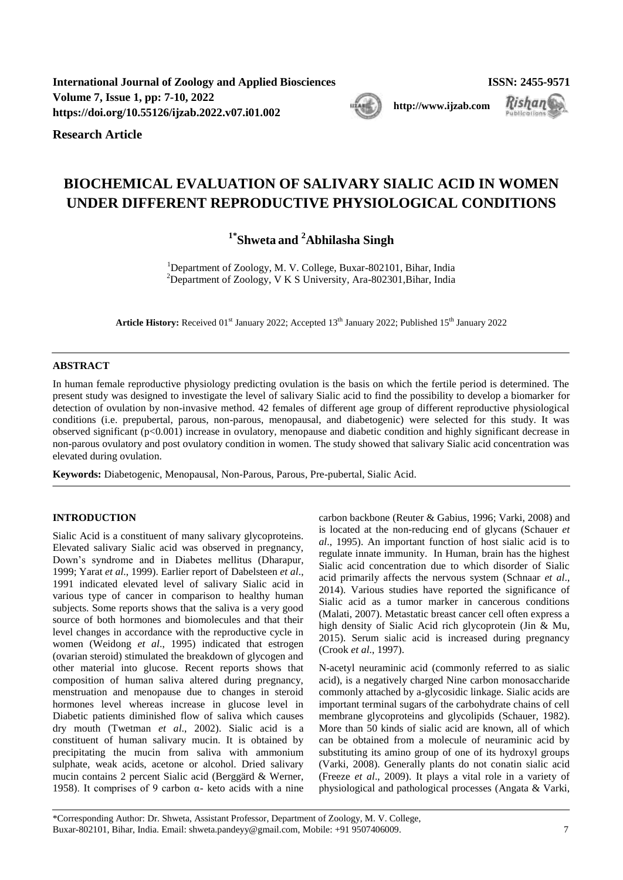**International Journal of Zoology and Applied Biosciences ISSN: 2455-9571 Volume 7, Issue 1, pp: 7-10, 2022 [http://www.ijzab.com](http://www.ijzab.co/#m) <https://doi.org/10.55126/ijzab.2022.v07.i01.002>**

**Research Article**

# **BIOCHEMICAL EVALUATION OF SALIVARY SIALIC ACID IN WOMEN**

**UNDER DIFFERENT REPRODUCTIVE PHYSIOLOGICAL CONDITIONS**

**1\* Shweta and <sup>2</sup>Abhilasha Singh**

<sup>1</sup>Department of Zoology, M. V. College, Buxar-802101, Bihar, India <sup>2</sup>Department of Zoology, V K S University, Ara-802301, Bihar, India

Article History: Received 01<sup>st</sup> January 2022; Accepted 13<sup>th</sup> January 2022; Published 15<sup>th</sup> January 2022

## **ABSTRACT**

In human female reproductive physiology predicting ovulation is the basis on which the fertile period is determined. The present study was designed to investigate the level of salivary Sialic acid to find the possibility to develop a biomarker for detection of ovulation by non-invasive method. 42 females of different age group of different reproductive physiological conditions (i.e. prepubertal, parous, non-parous, menopausal, and diabetogenic) were selected for this study. It was observed significant (p<0.001) increase in ovulatory, menopause and diabetic condition and highly significant decrease in non-parous ovulatory and post ovulatory condition in women. The study showed that salivary Sialic acid concentration was elevated during ovulation.

**Keywords:** Diabetogenic, Menopausal, Non-Parous, Parous, Pre-pubertal, Sialic Acid.

# **INTRODUCTION**

Sialic Acid is a constituent of many salivary glycoproteins. Elevated salivary Sialic acid was observed in pregnancy, Down's syndrome and in Diabetes mellitus [\(Dharapur,](#page-2-0)  [1999;](#page-2-0) [Yarat](#page-3-0) *et al*., 1999). Earlier report of [Dabelsteen](#page-2-1) *et al*., [1991](#page-2-1) indicated elevated level of salivary Sialic acid in various type of cancer in comparison to healthy human subjects. Some reports shows that the saliva is a very good source of both hormones and biomolecules and that their level changes in accordance with the reproductive cycle in women [\(Weidong](#page-3-1) *et al*., 1995) indicated that estrogen (ovarian steroid) stimulated the breakdown of glycogen and other material into glucose. Recent reports shows that composition of human saliva altered during pregnancy, menstruation and menopause due to changes in steroid hormones level whereas increase in glucose level in Diabetic patients diminished flow of saliva which causes dry mouth [\(Twetman](#page-3-2) *et al*., 2002). Sialic acid is a constituent of human salivary mucin. It is obtained by precipitating the mucin from saliva with ammonium sulphate, weak acids, acetone or alcohol. Dried salivary mucin contains 2 percent Sialic acid [\(Berggärd & Werner,](#page-2-2)  [1958\)](#page-2-2). It comprises of 9 carbon  $α$ - keto acids with a nine carbon backbone [\(Reuter & Gabius, 1996;](#page-3-3) [Varki, 2008\)](#page-3-4) and is located at the non-reducing end of glycans [\(Schauer](#page-3-5) *et al*., [1995\)](#page-3-5). An important function of host sialic acid is to regulate innate immunity. In Human, brain has the highest Sialic acid concentration due to which disorder of Sialic acid primarily affects the nervous system [\(Schnaar](#page-3-6) *et al*., [2014\)](#page-3-6). Various studies have reported the significance of Sialic acid as a tumor marker in cancerous conditions [\(Malati, 2007\)](#page-3-7). Metastatic breast cancer cell often express a high density of Sialic Acid rich glycoprotein [\(Jin & Mu,](#page-3-8)  [2015\)](#page-3-8). Serum sialic acid is increased during pregnancy [\(Crook](#page-2-3) *et al*., 1997).

N-acetyl neuraminic acid (commonly referred to as sialic acid), is a negatively charged Nine carbon monosaccharide commonly attached by a-glycosidic linkage. Sialic acids are important terminal sugars of the carbohydrate chains of cell membrane glycoproteins and glycolipids [\(Schauer, 1982\)](#page-3-9). More than 50 kinds of sialic acid are known, all of which can be obtained from a molecule of neuraminic acid by substituting its amino group of one of its hydroxyl groups [\(Varki, 2008\)](#page-3-4). Generally plants do not conatin sialic acid [\(Freeze](#page-2-4) *et al*., 2009). It plays a vital role in a variety of physiological and pathological processes [\(Angata & Varki,](#page-2-5) 

\*Corresponding Author: Dr. Shweta, Assistant Professor, Department of Zoology, M. V. College, Buxar-802101, Bihar, India. Email[: shweta.pandeyy@gmail.com,](mailto:shweta.pandeyy@gmail.com) Mobile: +91 9507406009. 7

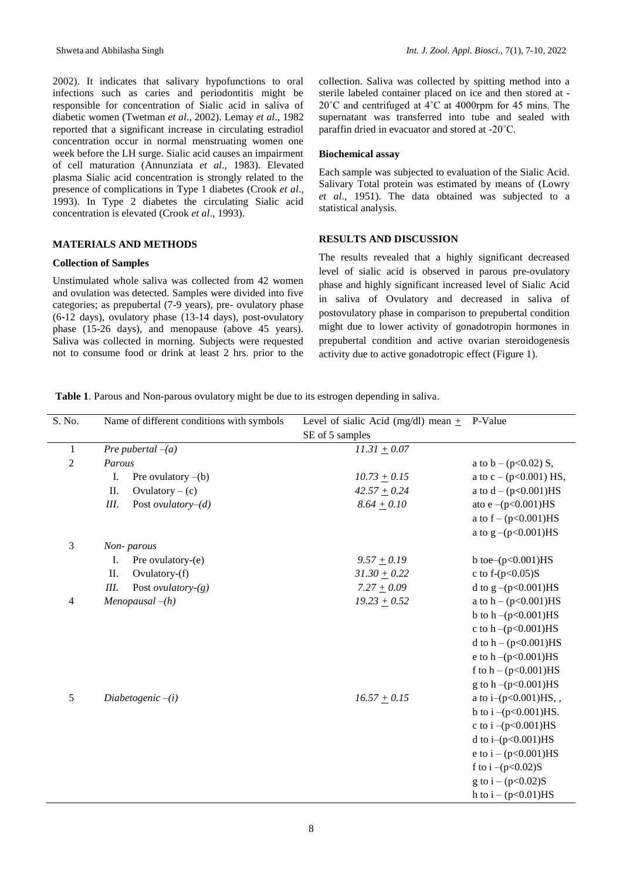2002). It indicates that salivary hypofunctions to oral infections such as caries and periodontitis might be responsible for concentration of Sialic acid in saliva of diabetic women [\(Twetman](#page-3-2) *et al*., 2002)[. Lemay](#page-3-10) *et al*., 1982 reported that a significant increase in circulating estradiol concentration occur in normal menstruating women one week before the LH surge. Sialic acid causes an impairment of cell maturation [\(Annunziata](#page-2-6) *et al*., 1983). Elevated plasma Sialic acid concentration is strongly related to the presence of complications in Type 1 diabetes [\(Crook](#page-2-7) *et al*., [1993\)](#page-2-7). In Type 2 diabetes the circulating Sialic acid concentration is elevated [\(Crook](#page-2-7) *et al*., 1993).

## **MATERIALS AND METHODS**

#### **Collection of Samples**

Unstimulated whole saliva was collected from 42 women and ovulation was detected. Samples were divided into five categories; as prepubertal (7-9 years), pre- ovulatory phase (6-12 days), ovulatory phase (13-14 days), post-ovulatory phase (15-26 days), and menopause (above 45 years). Saliva was collected in morning. Subjects were requested not to consume food or drink at least 2 hrs. prior to the collection. Saliva was collected by spitting method into a sterile labeled container placed on ice and then stored at - 20˚C and centrifuged at 4˚C at 4000rpm for 45 mins. The supernatant was transferred into tube and sealed with paraffin dried in evacuator and stored at -20˚C.

#### **Biochemical assay**

Each sample was subjected to evaluation of the Sialic Acid. Salivary Total protein was estimated by means of [\(Lowry](#page-3-11) *et al*[., 1951\)](#page-3-11). The data obtained was subjected to a statistical analysis.

## **RESULTS AND DISCUSSION**

The results revealed that a highly significant decreased level of sialic acid is observed in parous pre-ovulatory phase and highly significant increased level of Sialic Acid in saliva of Ovulatory and decreased in saliva of postovulatory phase in comparison to prepubertal condition might due to lower activity of gonadotropin hormones in prepubertal condition and active ovarian steroidogenesis activity due to active gonadotropic effect (Figure 1).

**Table 1**. Parous and Non-parous ovulatory might be due to its estrogen depending in saliva.

| S. No.         | Name of different conditions with symbols | Level of sialic Acid (mg/dl) mean $+$ | P-Value                    |
|----------------|-------------------------------------------|---------------------------------------|----------------------------|
|                |                                           | SE of 5 samples                       |                            |
| $\mathbf{1}$   | Pre pubertal $-(a)$                       | $11.31 \pm 0.07$                      |                            |
| $\overline{2}$ | Parous                                    |                                       | a to $b - (p<0.02)$ S,     |
|                | I.<br>Pre ovulatory $-(b)$                | $10.73 \pm 0.15$                      | a to $c - (p<0.001)$ HS,   |
|                | II.<br>Ovulatory $-$ (c)                  | $42.57 + 0.24$                        | a to $d - (p<0.001)$ HS    |
|                | Post ovulatory- $(d)$<br>III.             | $8.64 \pm 0.10$                       | ato e $-(p<0.001)$ HS      |
|                |                                           |                                       | a to $f - (p<0.001)$ HS    |
|                |                                           |                                       | a to $g - (p<0.001)$ HS    |
| 3              | Non-parous                                |                                       |                            |
|                | Ι.<br>Pre ovulatory-(e)                   | $9.57 + 0.19$                         | b toe- $(p<0.001)$ HS      |
|                | II.<br>Ovulatory-(f)                      | $31.30 + 0.22$                        | c to f- $(p<0.05)$ S       |
|                | Post <i>ovulatory-(g)</i><br>Ш.           | $7.27 + 0.09$                         | d to $g - (p < 0.001)$ HS  |
| 4              | $Menopausal-(h)$                          | $19.23 \pm 0.52$                      | a to $h - (p<0.001)HS$     |
|                |                                           |                                       | b to $h - (p < 0.001)$ HS  |
|                |                                           |                                       | c to $h - (p < 0.001)$ HS  |
|                |                                           |                                       | d to $h - (p<0.001)HS$     |
|                |                                           |                                       | e to $h - (p < 0.001)$ HS  |
|                |                                           |                                       | f to $h - (p<0.001)$ HS    |
|                |                                           |                                       | g to $h - (p < 0.001)$ HS  |
| 5              | Diabetogenic $-i$                         | $16.57 \pm 0.15$                      | a to i- $(p<0.001)$ HS,,   |
|                |                                           |                                       | b to $i - (p < 0.001)$ HS. |
|                |                                           |                                       | c to i $-(p<0.001)HS$      |
|                |                                           |                                       | d to i $-(p<0.001)$ HS     |
|                |                                           |                                       | e to i – $(p<0.001)$ HS    |
|                |                                           |                                       | f to i $-(p<0.02)S$        |
|                |                                           |                                       | g to $i - (p<0.02)S$       |
|                |                                           |                                       | h to $i - (p<0.01)$ HS     |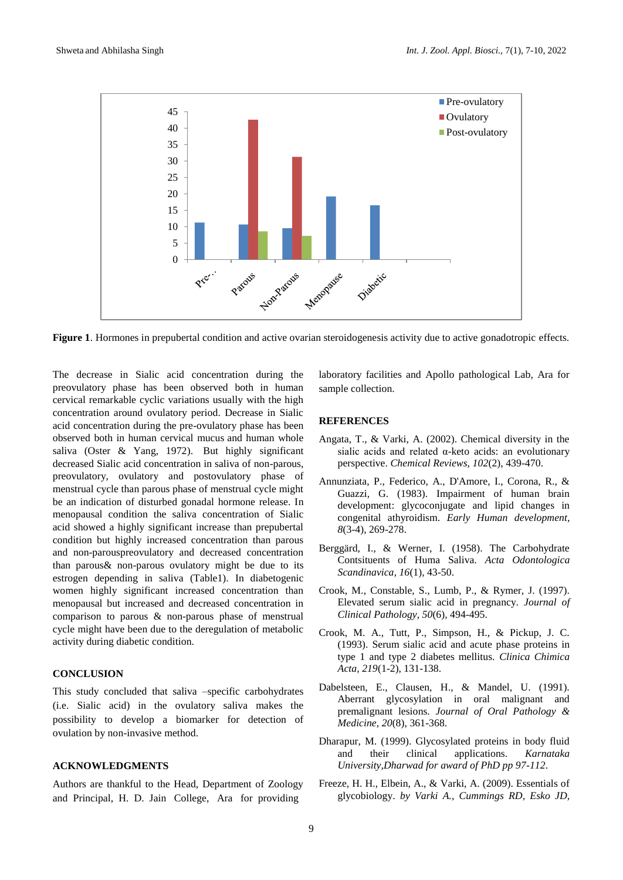

**Figure 1**. Hormones in prepubertal condition and active ovarian steroidogenesis activity due to active gonadotropic effects.

The decrease in Sialic acid concentration during the preovulatory phase has been observed both in human cervical remarkable cyclic variations usually with the high concentration around ovulatory period. Decrease in Sialic acid concentration during the pre-ovulatory phase has been observed both in human cervical mucus and human whole saliva [\(Oster & Yang, 1972\)](#page-3-12). But highly significant decreased Sialic acid concentration in saliva of non-parous, preovulatory, ovulatory and postovulatory phase of menstrual cycle than parous phase of menstrual cycle might be an indication of disturbed gonadal hormone release. In menopausal condition the saliva concentration of Sialic acid showed a highly significant increase than prepubertal condition but highly increased concentration than parous and non-parouspreovulatory and decreased concentration than parous& non-parous ovulatory might be due to its estrogen depending in saliva (Table1). In diabetogenic women highly significant increased concentration than menopausal but increased and decreased concentration in comparison to parous & non-parous phase of menstrual cycle might have been due to the deregulation of metabolic activity during diabetic condition.

# **CONCLUSION**

This study concluded that saliva –specific carbohydrates (i.e. Sialic acid) in the ovulatory saliva makes the possibility to develop a biomarker for detection of ovulation by non-invasive method.

## **ACKNOWLEDGMENTS**

Authors are thankful to the Head, Department of Zoology and Principal, H. D. Jain College, Ara for providing

laboratory facilities and Apollo pathological Lab, Ara for sample collection.

## **REFERENCES**

- <span id="page-2-5"></span>Angata, T., & Varki, A. (2002). Chemical diversity in the sialic acids and related α-keto acids: an evolutionary perspective. *Chemical Reviews, 102*(2), 439-470.
- <span id="page-2-6"></span>Annunziata, P., Federico, A., D'Amore, I., Corona, R., & Guazzi, G. (1983). Impairment of human brain development: glycoconjugate and lipid changes in congenital athyroidism. *Early Human development, 8*(3-4), 269-278.
- <span id="page-2-2"></span>Berggärd, I., & Werner, I. (1958). The Carbohydrate Contsituents of Huma Saliva. *Acta Odontologica Scandinavica, 16*(1), 43-50.
- <span id="page-2-3"></span>Crook, M., Constable, S., Lumb, P., & Rymer, J. (1997). Elevated serum sialic acid in pregnancy. *Journal of Clinical Pathology, 50*(6), 494-495.
- <span id="page-2-7"></span>Crook, M. A., Tutt, P., Simpson, H., & Pickup, J. C. (1993). Serum sialic acid and acute phase proteins in type 1 and type 2 diabetes mellitus. *Clinica Chimica Acta, 219*(1-2), 131-138.
- <span id="page-2-1"></span>Dabelsteen, E., Clausen, H., & Mandel, U. (1991). Aberrant glycosylation in oral malignant and premalignant lesions. *Journal of Oral Pathology & Medicine, 20*(8), 361-368.
- <span id="page-2-0"></span>Dharapur, M. (1999). Glycosylated proteins in body fluid and their clinical applications. *Karnataka University,Dharwad for award of PhD pp 97-112*.
- <span id="page-2-4"></span>Freeze, H. H., Elbein, A., & Varki, A. (2009). Essentials of glycobiology. *by Varki A., Cummings RD, Esko JD,*